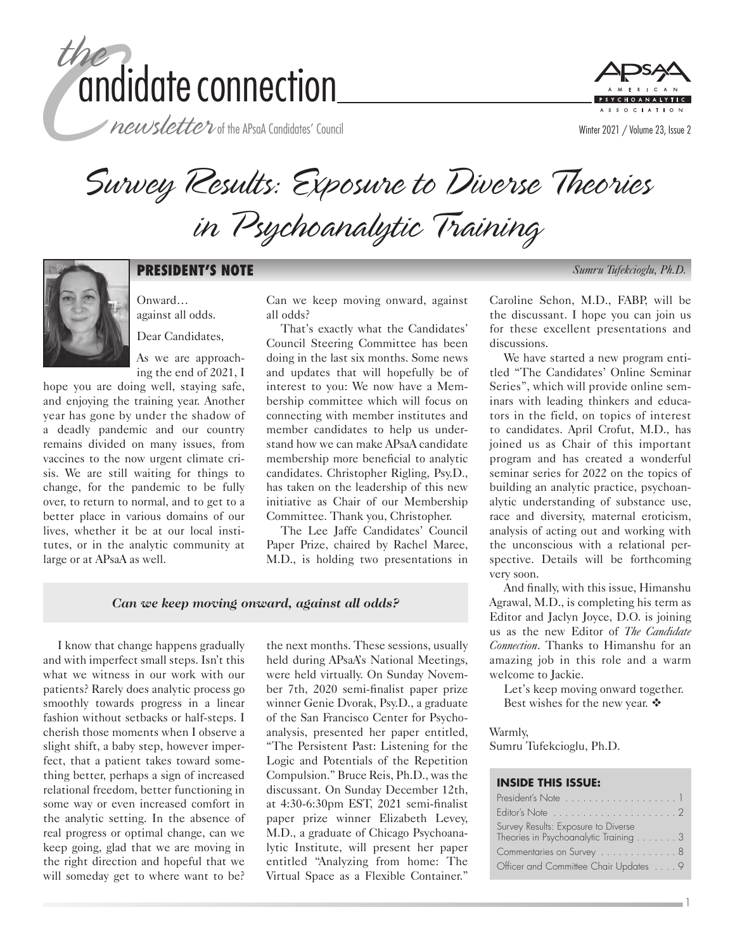

newsletter of the APsaA Candidates' Council



Survey Results: Exposure to Diverse Theories in Psychoanalytic Training



### **PRESIDENT'S NOTE** *Sumru Tufekcioglu, Ph.D.*

Onward… against all odds. Dear Candidates,

As we are approaching the end of 2021, I

hope you are doing well, staying safe, and enjoying the training year. Another year has gone by under the shadow of a deadly pandemic and our country remains divided on many issues, from vaccines to the now urgent climate crisis. We are still waiting for things to change, for the pandemic to be fully over, to return to normal, and to get to a better place in various domains of our lives, whether it be at our local institutes, or in the analytic community at large or at APsaA as well.

Can we keep moving onward, against all odds?

That's exactly what the Candidates' Council Steering Committee has been doing in the last six months. Some news and updates that will hopefully be of interest to you: We now have a Membership committee which will focus on connecting with member institutes and member candidates to help us understand how we can make APsaA candidate membership more beneficial to analytic candidates. Christopher Rigling, Psy.D., has taken on the leadership of this new initiative as Chair of our Membership Committee. Thank you, Christopher.

The Lee Jaffe Candidates' Council Paper Prize, chaired by Rachel Maree, M.D., is holding two presentations in

*Can we keep moving onward, against all odds?*

I know that change happens gradually and with imperfect small steps. Isn't this what we witness in our work with our patients? Rarely does analytic process go smoothly towards progress in a linear fashion without setbacks or half-steps. I cherish those moments when I observe a slight shift, a baby step, however imperfect, that a patient takes toward something better, perhaps a sign of increased relational freedom, better functioning in some way or even increased comfort in the analytic setting. In the absence of real progress or optimal change, can we keep going, glad that we are moving in the right direction and hopeful that we will someday get to where want to be?

the next months. These sessions, usually held during APsaA's National Meetings, were held virtually. On Sunday November 7th, 2020 semi-finalist paper prize winner Genie Dvorak, Psy.D., a graduate of the San Francisco Center for Psychoanalysis, presented her paper entitled, "The Persistent Past: Listening for the Logic and Potentials of the Repetition Compulsion." Bruce Reis, Ph.D., was the discussant. On Sunday December 12th, at 4:30-6:30pm EST, 2021 semi-finalist paper prize winner Elizabeth Levey, M.D., a graduate of Chicago Psychoanalytic Institute, will present her paper entitled "Analyzing from home: The Virtual Space as a Flexible Container."

Caroline Sehon, M.D., FABP, will be the discussant. I hope you can join us for these excellent presentations and discussions.

We have started a new program entitled "The Candidates' Online Seminar Series", which will provide online seminars with leading thinkers and educators in the field, on topics of interest to candidates. April Crofut, M.D., has joined us as Chair of this important program and has created a wonderful seminar series for 2022 on the topics of building an analytic practice, psychoanalytic understanding of substance use, race and diversity, maternal eroticism, analysis of acting out and working with the unconscious with a relational perspective. Details will be forthcoming very soon.

And finally, with this issue, Himanshu Agrawal, M.D., is completing his term as Editor and Jaclyn Joyce, D.O. is joining us as the new Editor of *The Candidate Connection*. Thanks to Himanshu for an amazing job in this role and a warm welcome to Jackie.

Let's keep moving onward together. Best wishes for the new year.  $\clubsuit$ 

Warmly,

Sumru Tufekcioglu, Ph.D.

#### **INSIDE THIS ISSUE:**

| Survey Results: Exposure to Diverse<br>Theories in Psychoanalytic Training 3 |  |  |  |
|------------------------------------------------------------------------------|--|--|--|
| Commentaries on Survey 8                                                     |  |  |  |
| Officer and Committee Chair Updates 9                                        |  |  |  |

1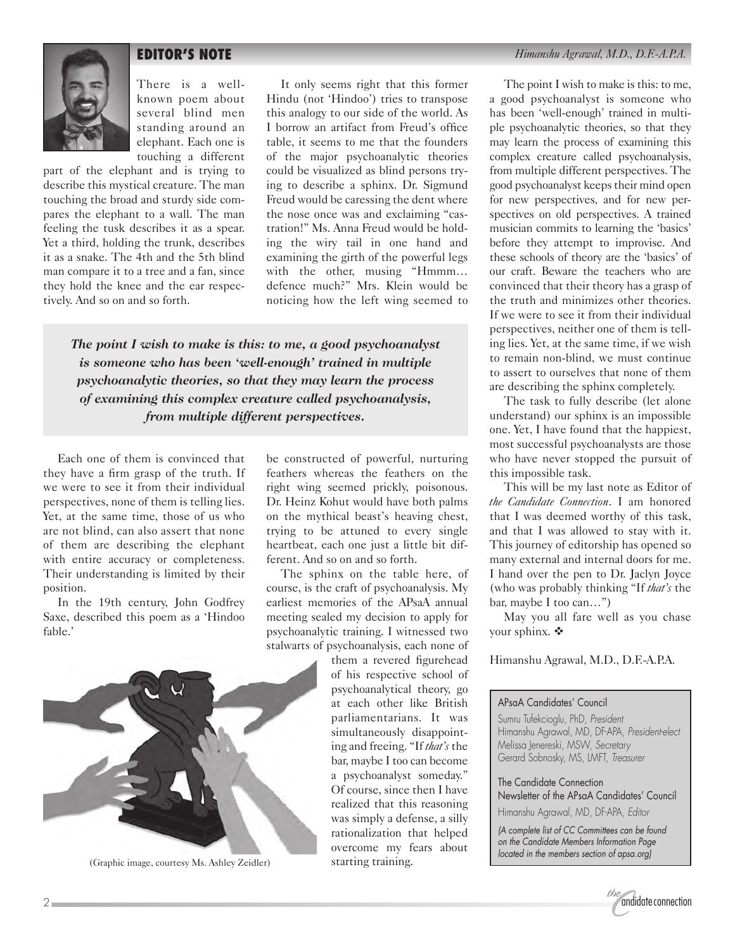

There is a wellknown poem about several blind men standing around an elephant. Each one is touching a different

part of the elephant and is trying to describe this mystical creature. The man touching the broad and sturdy side compares the elephant to a wall. The man feeling the tusk describes it as a spear. Yet a third, holding the trunk, describes it as a snake. The 4th and the 5th blind man compare it to a tree and a fan, since they hold the knee and the ear respectively. And so on and so forth.

It only seems right that this former Hindu (not 'Hindoo') tries to transpose this analogy to our side of the world. As I borrow an artifact from Freud's office table, it seems to me that the founders of the major psychoanalytic theories could be visualized as blind persons trying to describe a sphinx. Dr. Sigmund Freud would be caressing the dent where the nose once was and exclaiming "castration!" Ms. Anna Freud would be holding the wiry tail in one hand and examining the girth of the powerful legs with the other, musing "Hmmm… defence much?" Mrs. Klein would be noticing how the left wing seemed to

*The point I wish to make is this: to me, a good psychoanalyst is someone who has been 'well-enough' trained in multiple psychoanalytic theories, so that they may learn the process of examining this complex creature called psychoanalysis, from multiple different perspectives.*

Each one of them is convinced that they have a firm grasp of the truth. If we were to see it from their individual perspectives, none of them is telling lies. Yet, at the same time, those of us who are not blind, can also assert that none of them are describing the elephant with entire accuracy or completeness. Their understanding is limited by their position.

In the 19th century, John Godfrey Saxe, described this poem as a 'Hindoo fable.'

be constructed of powerful, nurturing feathers whereas the feathers on the right wing seemed prickly, poisonous. Dr. Heinz Kohut would have both palms on the mythical beast's heaving chest, trying to be attuned to every single heartbeat, each one just a little bit different. And so on and so forth.

The sphinx on the table here, of course, is the craft of psychoanalysis. My earliest memories of the APsaA annual meeting sealed my decision to apply for psychoanalytic training. I witnessed two stalwarts of psychoanalysis, each none of

them a revered figurehead of his respective school of psychoanalytical theory, go at each other like British parliamentarians. It was simultaneously disappointing and freeing. "If *that's* the bar, maybe I too can become a psychoanalyst someday." Of course, since then I have realized that this reasoning was simply a defense, a silly rationalization that helped overcome my fears about starting training.

The point I wish to make is this: to me, a good psychoanalyst is someone who has been 'well-enough' trained in multiple psychoanalytic theories, so that they may learn the process of examining this complex creature called psychoanalysis, from multiple different perspectives. The good psychoanalyst keeps their mind open for new perspectives, and for new perspectives on old perspectives. A trained musician commits to learning the 'basics' before they attempt to improvise. And these schools of theory are the 'basics' of our craft. Beware the teachers who are convinced that their theory has a grasp of the truth and minimizes other theories. If we were to see it from their individual perspectives, neither one of them is telling lies. Yet, at the same time, if we wish to remain non-blind, we must continue to assert to ourselves that none of them are describing the sphinx completely.

The task to fully describe (let alone understand) our sphinx is an impossible one. Yet, I have found that the happiest, most successful psychoanalysts are those who have never stopped the pursuit of this impossible task.

This will be my last note as Editor of *the Candidate Connection*. I am honored that I was deemed worthy of this task, and that I was allowed to stay with it. This journey of editorship has opened so many external and internal doors for me. I hand over the pen to Dr. Jaclyn Joyce (who was probably thinking "If *that's* the bar, maybe I too can…")

May you all fare well as you chase your sphinx.  $\clubsuit$ 

Himanshu Agrawal, M.D., D.F.-A.P.A.

### APsaA Candidates' Council

Sumru Tufekcioglu, PhD, *President* Himanshu Agrawal, MD, DF-APA, *President-elect* Melissa Jenereski, MSW, *Secretary* Gerard Sobnosky, MS, LMFT, *Treasurer*

The Candidate Connection

Newsletter of the APsaA Candidates' Council Himanshu Agrawal, MD, DF-APA, *Editor*

*(A complete list of CC Committees can be found on the Candidate Members Information Page located in the members section of apsa.org)*





(Graphic image, courtesy Ms. Ashley Zeidler)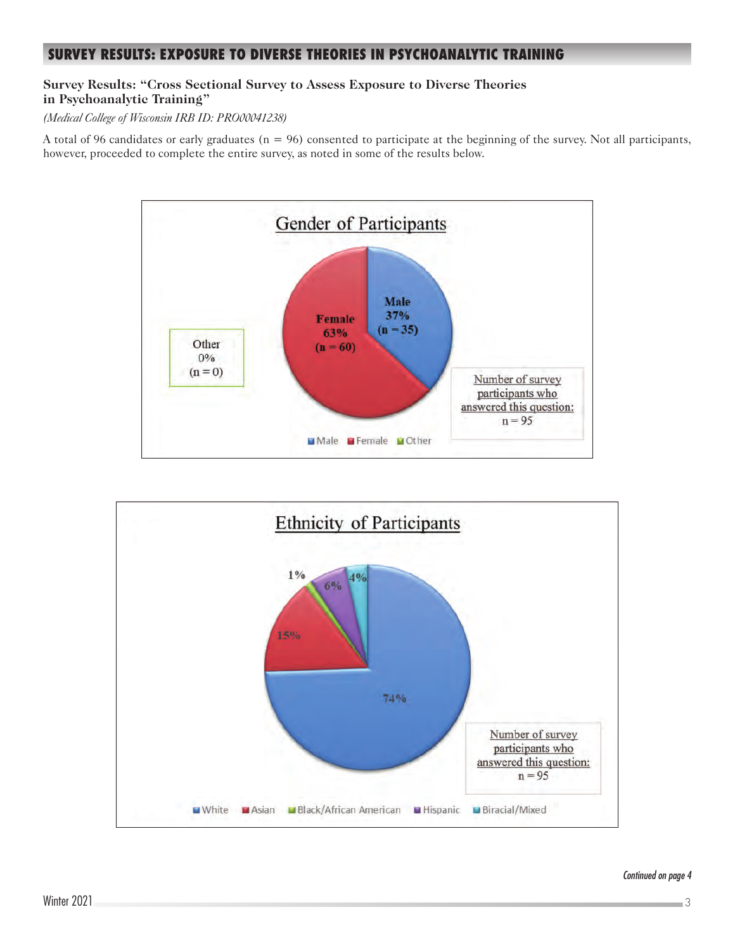### **SURVEY RESULTS: EXPOSURE TO DIVERSE THEORIES IN PSYCHOANALYTIC TRAINING**

### **Survey Results: "Cross Sectional Survey to Assess Exposure to Diverse Theories in Psychoanalytic Training"**

*(Medical College of Wisconsin IRB ID: PRO00041238)*

A total of 96 candidates or early graduates  $(n = 96)$  consented to participate at the beginning of the survey. Not all participants, however, proceeded to complete the entire survey, as noted in some of the results below.



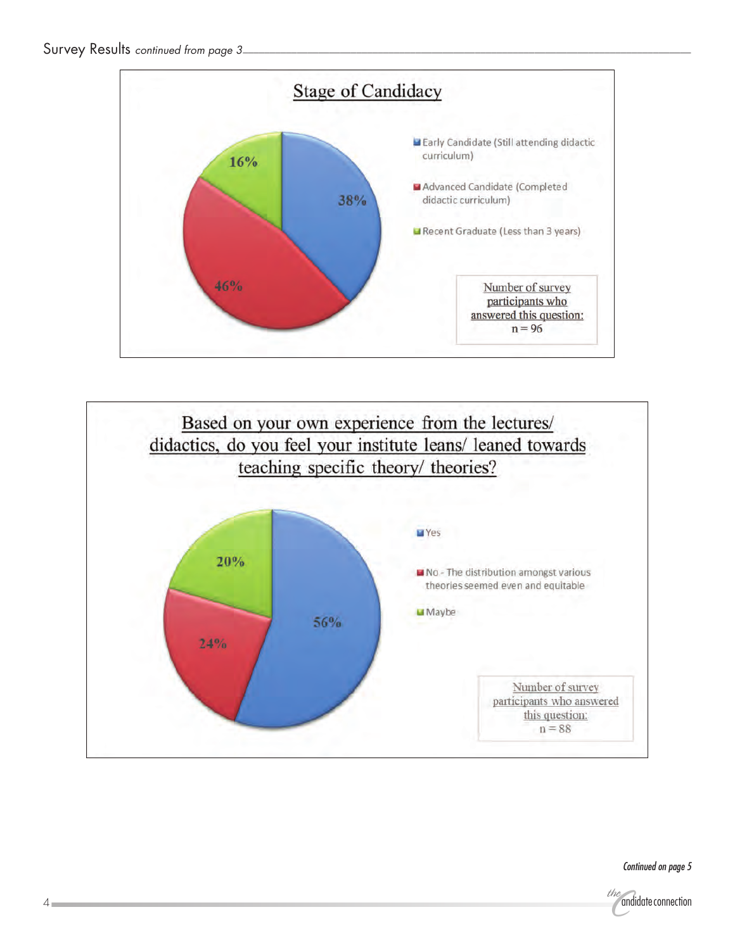



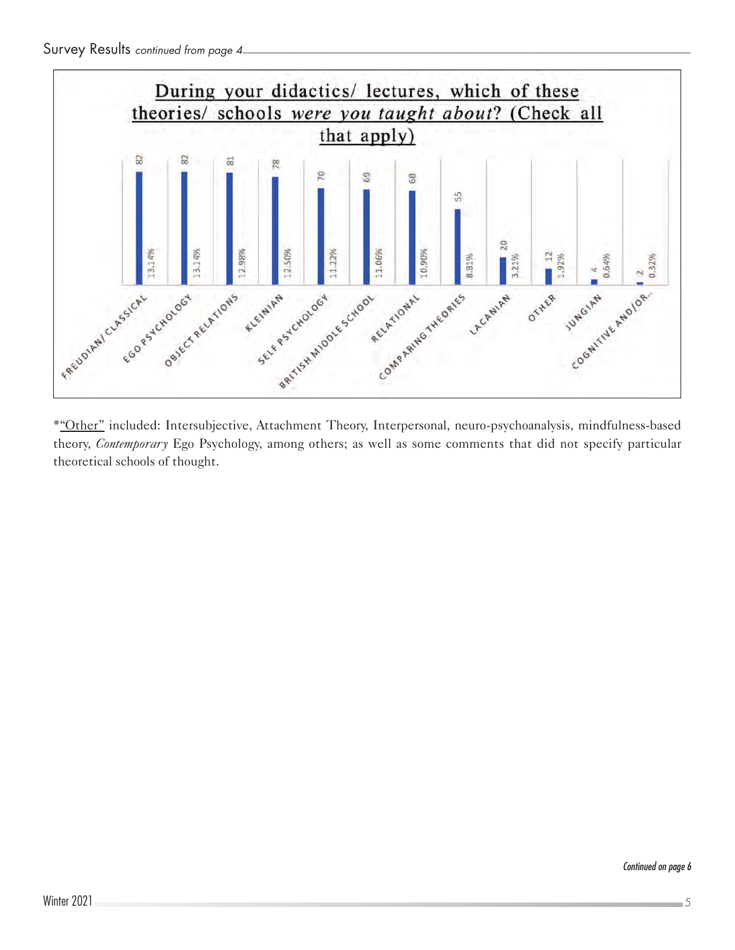

\*"Other" included: Intersubjective, Attachment Theory, Interpersonal, neuro-psychoanalysis, mindfulness-based theory, *Contemporary* Ego Psychology, among others; as well as some comments that did not specify particular theoretical schools of thought.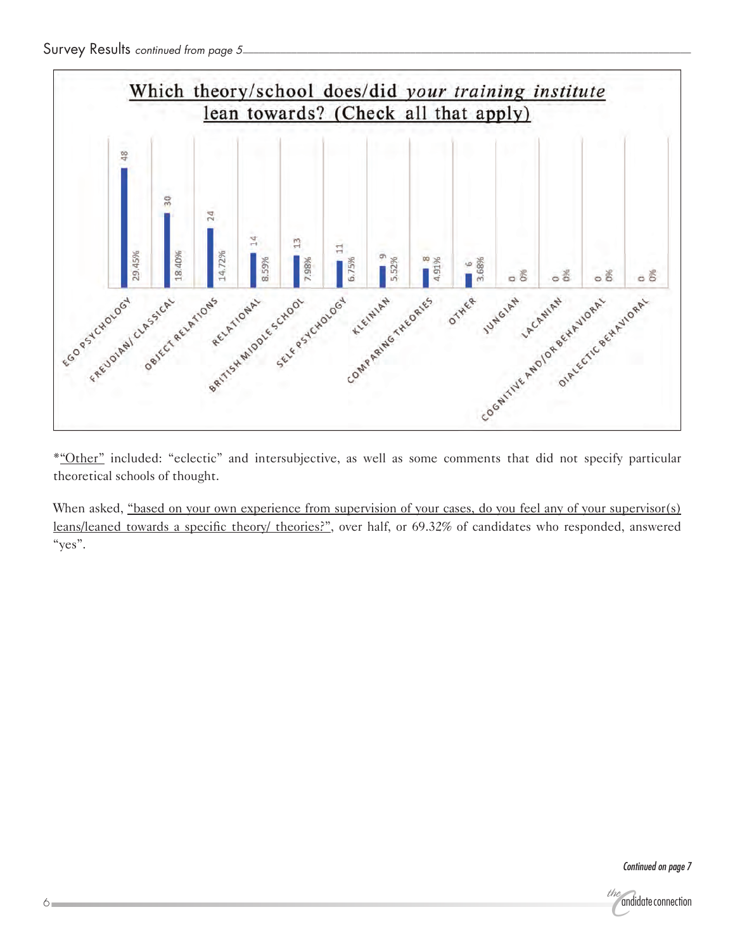

theoretical schools of thought.

When asked, "based on your own experience from supervision of your cases, do you feel any of your supervisor(s) leans/leaned towards a specific theory/ theories?", over half, or 69.32% of candidates who responded, answered "yes".

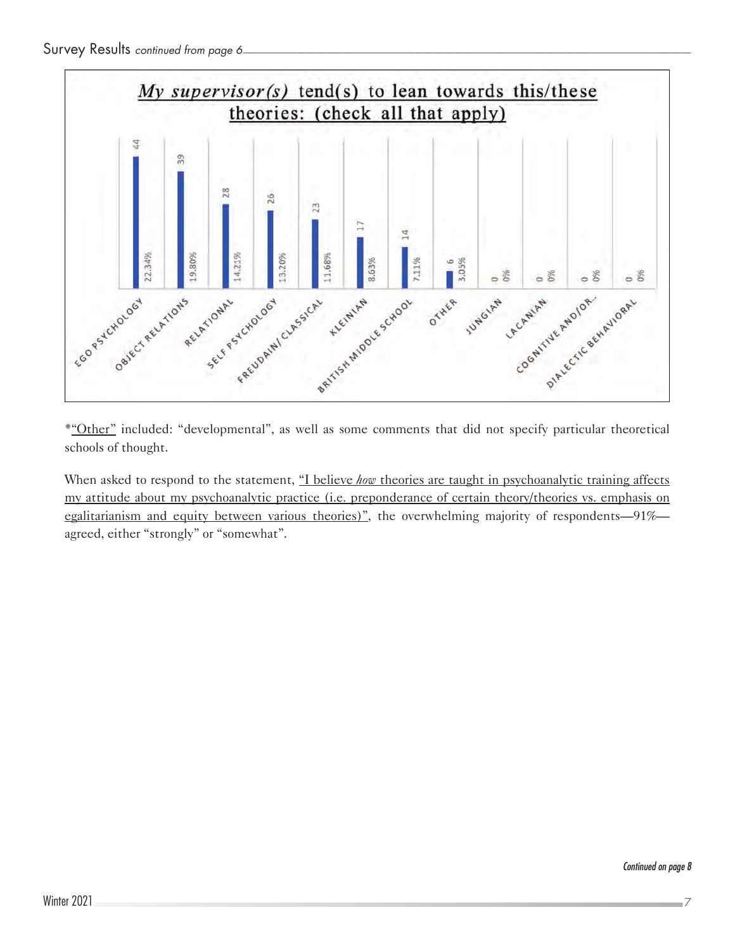

\*"Other" included: "developmental", as well as some comments that did not specify particular theoretical schools of thought.

When asked to respond to the statement, "I believe *how* theories are taught in psychoanalytic training affects my attitude about my psychoanalytic practice (i.e. preponderance of certain theory/theories vs. emphasis on egalitarianism and equity between various theories)", the overwhelming majority of respondents—91% agreed, either "strongly" or "somewhat".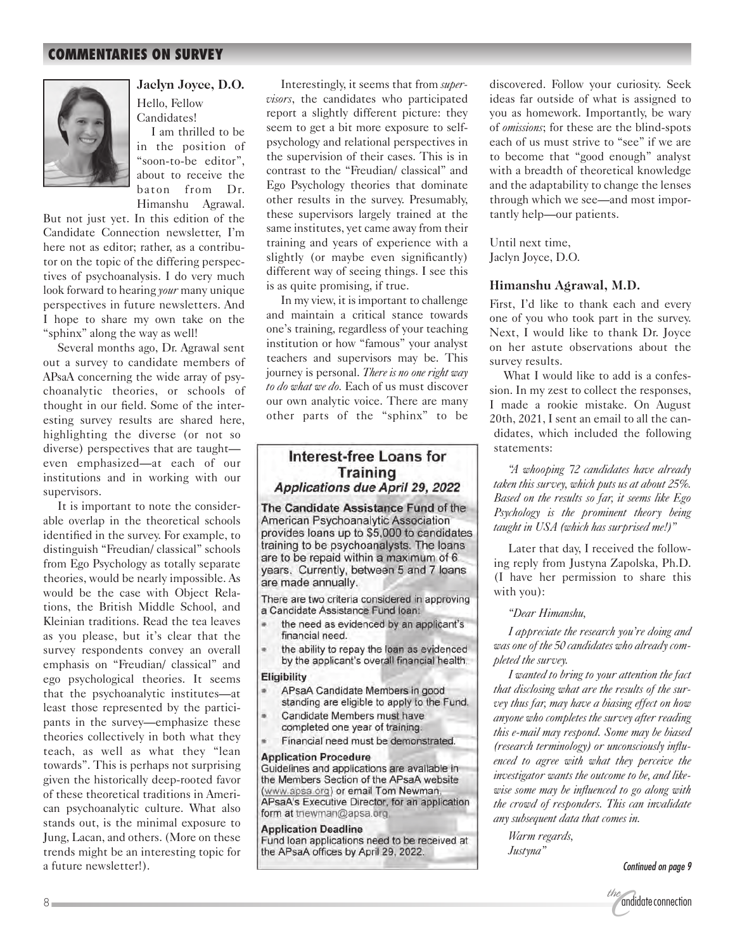### **COMMENTARIES ON SURVEY**



**Jaclyn Joyce, D.O.** Hello, Fellow Candidates!

I am thrilled to be in the position of "soon-to-be editor", about to receive the baton from Dr. Himanshu Agrawal.

But not just yet. In this edition of the Candidate Connection newsletter, I'm here not as editor; rather, as a contributor on the topic of the differing perspectives of psychoanalysis. I do very much look forward to hearing *your* many unique perspectives in future newsletters. And I hope to share my own take on the "sphinx" along the way as well!

Several months ago, Dr. Agrawal sent out a survey to candidate members of APsaA concerning the wide array of psychoanalytic theories, or schools of thought in our field. Some of the interesting survey results are shared here, highlighting the diverse (or not so diverse) perspectives that are taught even emphasized—at each of our institutions and in working with our supervisors.

It is important to note the considerable overlap in the theoretical schools identified in the survey. For example, to distinguish "Freudian/ classical" schools from Ego Psychology as totally separate theories, would be nearly impossible. As would be the case with Object Relations, the British Middle School, and Kleinian traditions. Read the tea leaves as you please, but it's clear that the survey respondents convey an overall emphasis on "Freudian/ classical" and ego psychological theories. It seems that the psychoanalytic institutes—at least those represented by the participants in the survey—emphasize these theories collectively in both what they teach, as well as what they "lean towards". This is perhaps not surprising given the historically deep-rooted favor of these theoretical traditions in American psychoanalytic culture. What also stands out, is the minimal exposure to Jung, Lacan, and others. (More on these trends might be an interesting topic for a future newsletter!).

Interestingly, it seems that from *supervisors*, the candidates who participated report a slightly different picture: they seem to get a bit more exposure to selfpsychology and relational perspectives in the supervision of their cases. This is in contrast to the "Freudian/ classical" and Ego Psychology theories that dominate other results in the survey. Presumably, these supervisors largely trained at the same institutes, yet came away from their training and years of experience with a slightly (or maybe even significantly) different way of seeing things. I see this is as quite promising, if true.

In my view, it is important to challenge and maintain a critical stance towards one's training, regardless of your teaching institution or how "famous" your analyst teachers and supervisors may be. This journey is personal. *There is no one right way to do what we do.* Each of us must discover our own analytic voice. There are many other parts of the "sphinx" to be

### Interest-free Loans for Training Applications due April 29, 2022

The Candidate Assistance Fund of the American Psychoanalytic Association provides loans up to \$5,000 to candidates training to be psychoanalysts. The loans are to be repaid within a maximum of 6 years. Currently, between 5 and 7 loans are made annually.

There are two criteria considered in approving a Candidate Assistance Fund Ioan:

- the need as evidenced by an applicant's financial need.
- the ability to repay the loan as evidenced by the applicant's overall financial health.

#### Eligibility

- APsaA Candidate Members in good standing are eligible to apply to the Fund.
- Candidate Members must have completed one year of training.
- Financial need must be demonstrated.

#### **Application Procedure**

Guidelines and applications are available in the Members Section of the APsaA website (www.apsa.org) or email Tom Newman, APsaA's Executive Director, for an application form at tnewman@apsa.org

**Application Deadline** 

Fund loan applications need to be received at the APsaA offices by April 29, 2022.

discovered. Follow your curiosity. Seek ideas far outside of what is assigned to you as homework. Importantly, be wary of *omissions*; for these are the blind-spots each of us must strive to "see" if we are to become that "good enough" analyst with a breadth of theoretical knowledge and the adaptability to change the lenses through which we see—and most importantly help—our patients.

Until next time, Jaclyn Joyce, D.O.

### **Himanshu Agrawal, M.D.**

First, I'd like to thank each and every one of you who took part in the survey. Next, I would like to thank Dr. Joyce on her astute observations about the survey results.

What I would like to add is a confession. In my zest to collect the responses, I made a rookie mistake. On August 20th, 2021, I sent an email to all the candidates, which included the following statements:

*"A whooping 72 candidates have already taken this survey, which puts us at about 25%. Based on the results so far, it seems like Ego Psychology is the prominent theory being taught in USA (which has surprised me!)"*

Later that day, I received the following reply from Justyna Zapolska, Ph.D. (I have her permission to share this with you):

*"Dear Himanshu,*

*I appreciate the research you're doing and was one of the 50 candidates who already completed the survey.*

*I wanted to bring to your attention the fact that disclosing what are the results of the survey thus far, may have a biasing effect on how anyone who completes the survey after reading this e-mail may respond. Some may be biased (research terminology) or unconsciously influenced to agree with what they perceive the investigator wants the outcome to be, and likewise some may be influenced to go along with the crowd of responders. This can invalidate any subsequent data that comes in.*

*Warm regards, Justyna"*

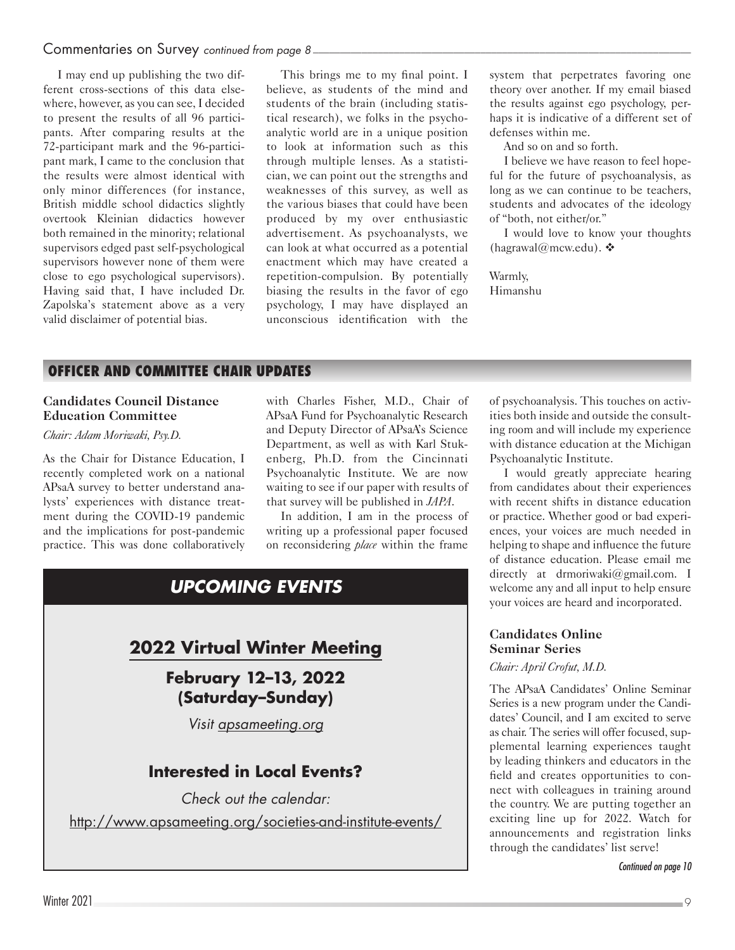I may end up publishing the two different cross-sections of this data elsewhere, however, as you can see, I decided to present the results of all 96 participants. After comparing results at the 72-participant mark and the 96-participant mark, I came to the conclusion that the results were almost identical with only minor differences (for instance, British middle school didactics slightly overtook Kleinian didactics however both remained in the minority; relational supervisors edged past self-psychological supervisors however none of them were close to ego psychological supervisors). Having said that, I have included Dr. Zapolska's statement above as a very valid disclaimer of potential bias.

This brings me to my final point. I believe, as students of the mind and students of the brain (including statistical research), we folks in the psychoanalytic world are in a unique position to look at information such as this through multiple lenses. As a statistician, we can point out the strengths and weaknesses of this survey, as well as the various biases that could have been produced by my over enthusiastic advertisement. As psychoanalysts, we can look at what occurred as a potential enactment which may have created a repetition-compulsion. By potentially biasing the results in the favor of ego psychology, I may have displayed an unconscious identification with the

system that perpetrates favoring one theory over another. If my email biased the results against ego psychology, perhaps it is indicative of a different set of defenses within me.

And so on and so forth.

I believe we have reason to feel hopeful for the future of psychoanalysis, as long as we can continue to be teachers, students and advocates of the ideology of "both, not either/or."

I would love to know your thoughts [\(hagrawal@mcw.edu\)](mailto:hagrawal%40mcw.edu?subject=).  $\triangle$ 

Warmly, Himanshu

### **OFFICER AND COMMITTEE CHAIR UPDATES**

### **Candidates Council Distance Education Committee**

### *Chair: Adam Moriwaki, Psy.D.*

As the Chair for Distance Education, I recently completed work on a national APsaA survey to better understand analysts' experiences with distance treatment during the COVID-19 pandemic and the implications for post-pandemic practice. This was done collaboratively

with Charles Fisher, M.D., Chair of APsaA Fund for Psychoanalytic Research and Deputy Director of APsaA's Science Department, as well as with Karl Stukenberg, Ph.D. from the Cincinnati Psychoanalytic Institute. We are now waiting to see if our paper with results of that survey will be published in *JAPA*.

In addition, I am in the process of writing up a professional paper focused on reconsidering *place* within the frame

### *UPCOMING EVENTS*

## **2022 Virtual Winter Meeting**

### **February 12–13, 2022 (Saturday–Sunday)**

*Visit [apsameeting.org](http://www.apsameeting.org)*

### **Interested in Local Events?**

*Check out the calendar:*

<http://www.apsameeting.org/societies-and-institute-events/>

of psychoanalysis. This touches on activities both inside and outside the consulting room and will include my experience with distance education at the Michigan Psychoanalytic Institute.

I would greatly appreciate hearing from candidates about their experiences with recent shifts in distance education or practice. Whether good or bad experiences, your voices are much needed in helping to shape and influence the future of distance education. Please email me directly at [drmoriwaki@gmail.com.](mailto:drmoriwaki%40gmail.com?subject=) I welcome any and all input to help ensure your voices are heard and incorporated.

### **Candidates Online Seminar Series**

### *Chair: April Crofut, M.D.*

The APsaA Candidates' Online Seminar Series is a new program under the Candidates' Council, and I am excited to serve as chair. The series will offer focused, supplemental learning experiences taught by leading thinkers and educators in the field and creates opportunities to connect with colleagues in training around the country. We are putting together an exciting line up for 2022. Watch for announcements and registration links through the candidates' list serve!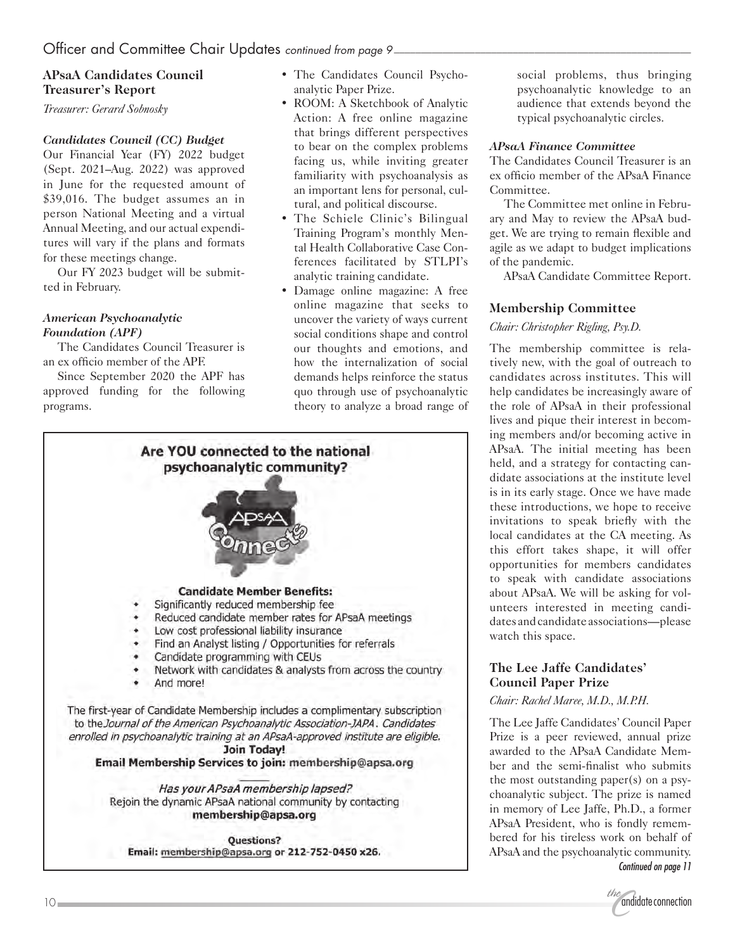### **APsaA Candidates Council Treasurer's Report**

*Treasurer: Gerard Sobnosky*

### *Candidates Council (CC) Budget*

Our Financial Year (FY) 2022 budget (Sept. 2021–Aug. 2022) was approved in June for the requested amount of \$39,016. The budget assumes an in person National Meeting and a virtual Annual Meeting, and our actual expenditures will vary if the plans and formats for these meetings change.

Our FY 2023 budget will be submitted in February.

### *American Psychoanalytic Foundation (APF)*

The Candidates Council Treasurer is an ex officio member of the APF.

Since September 2020 the APF has approved funding for the following programs.

- The Candidates Council Psychoanalytic Paper Prize.
- ROOM: A Sketchbook of Analytic Action: A free online magazine that brings different perspectives to bear on the complex problems facing us, while inviting greater familiarity with psychoanalysis as an important lens for personal, cultural, and political discourse.
- The Schiele Clinic's Bilingual Training Program's monthly Mental Health Collaborative Case Conferences facilitated by STLPI's analytic training candidate.
- Damage online magazine: A free online magazine that seeks to uncover the variety of ways current social conditions shape and control our thoughts and emotions, and how the internalization of social demands helps reinforce the status quo through use of psychoanalytic theory to analyze a broad range of



social problems, thus bringing psychoanalytic knowledge to an audience that extends beyond the typical psychoanalytic circles.

### *APsaA Finance Committee*

The Candidates Council Treasurer is an ex officio member of the APsaA Finance Committee.

The Committee met online in February and May to review the APsaA budget. We are trying to remain flexible and agile as we adapt to budget implications of the pandemic.

APsaA Candidate Committee Report.

### **Membership Committee**

*Chair: Christopher Rigling, Psy.D.*

The membership committee is relatively new, with the goal of outreach to candidates across institutes. This will help candidates be increasingly aware of the role of APsaA in their professional lives and pique their interest in becoming members and/or becoming active in APsaA. The initial meeting has been held, and a strategy for contacting candidate associations at the institute level is in its early stage. Once we have made these introductions, we hope to receive invitations to speak briefly with the local candidates at the CA meeting. As this effort takes shape, it will offer opportunities for members candidates to speak with candidate associations about APsaA. We will be asking for volunteers interested in meeting candidates and candidate associations—please watch this space.

### **The Lee Jaffe Candidates' Council Paper Prize**

*Chair: Rachel Maree, M.D., M.P.H.*

The Lee Jaffe Candidates' Council Paper Prize is a peer reviewed, annual prize awarded to the APsaA Candidate Member and the semi-finalist who submits the most outstanding paper(s) on a psychoanalytic subject. The prize is named in memory of Lee Jaffe, Ph.D., a former APsaA President, who is fondly remembered for his tireless work on behalf of APsaA and the psychoanalytic community. *Continued on page 11*